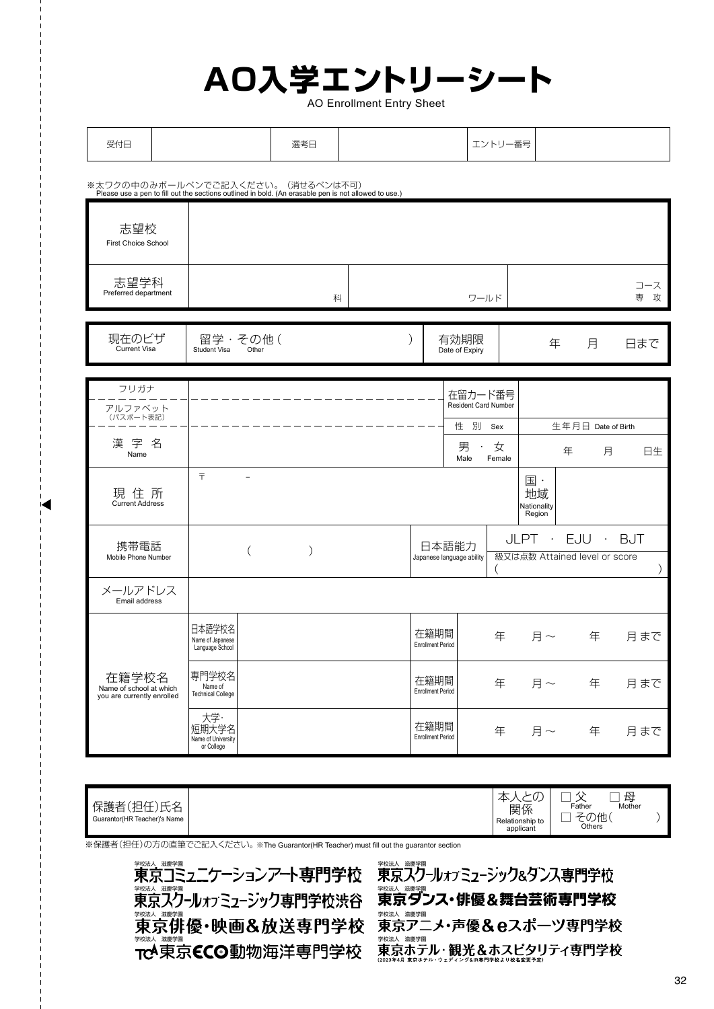## **AO入学エントリーシート**

AO Enrollment Entry Sheet

| 受付日 | 選考日 | 一番号<br>エント<br>∸∠⊣<br>$\overline{\phantom{a}}$ |  |
|-----|-----|-----------------------------------------------|--|
|-----|-----|-----------------------------------------------|--|

※太ワクの中のみボールペンでご記入ください。(消せるペンは不可)<br>- Please use a pen to fill out the sections outlined in bold. (An erasable pen is not allowed to use.)

◢

| 志望校<br><b>First Choice School</b>                              |                                                  |                  |   |                                    |                                  |                                   |                               |                                                          |                    |   |               |
|----------------------------------------------------------------|--------------------------------------------------|------------------|---|------------------------------------|----------------------------------|-----------------------------------|-------------------------------|----------------------------------------------------------|--------------------|---|---------------|
| 志望学科<br>Preferred department                                   |                                                  |                  | 科 |                                    |                                  | ワールド                              |                               |                                                          |                    |   | コース<br>攻<br>専 |
| 現在のビザ<br>Current Visa                                          | Student Visa                                     | 留学・その他(<br>Other |   |                                    | ∖                                | 有効期限<br>Date of Expiry            |                               | 年                                                        | 月                  |   | 日まで           |
| フリガナ                                                           |                                                  |                  |   |                                    |                                  |                                   |                               |                                                          |                    |   |               |
| アルファベット                                                        |                                                  |                  |   |                                    |                                  | 在留カード番号<br>Resident Card Number   |                               |                                                          |                    |   |               |
| (パスポート表記)                                                      |                                                  |                  |   |                                    |                                  | 性別                                | Sex                           |                                                          | 生年月日 Date of Birth |   |               |
| 漢字名<br>Name                                                    |                                                  |                  |   |                                    |                                  | 男<br>$\ddot{\phantom{0}}$<br>Male | 女<br>Female                   |                                                          | 年                  | 月 | 日生            |
| 現住所<br><b>Current Address</b>                                  | $\overline{\tau}$                                | $\equiv$         |   |                                    |                                  |                                   |                               | $\overline{\mathbb{E}}$ .<br>地域<br>Nationality<br>Region |                    |   |               |
| 携帯電話                                                           | $\mathcal{E}$<br>$\left($                        |                  |   | 日本語能力<br>Japanese language ability |                                  |                                   | EJU · BJT<br>$JLPT$ $\cdot$   |                                                          |                    |   |               |
| Mobile Phone Number                                            |                                                  |                  |   |                                    |                                  |                                   | 級又は点数 Attained level or score |                                                          |                    |   |               |
| メールアドレス<br>Email address                                       |                                                  |                  |   |                                    |                                  |                                   |                               |                                                          |                    |   |               |
|                                                                | 日本語学校名<br>Name of Japanese<br>Language School    |                  |   |                                    | 在籍期間<br><b>Enrollment Period</b> |                                   | 年                             | 月~                                                       | 年                  |   | 月まで           |
| 在籍学校名<br>Name of school at which<br>you are currently enrolled | 専門学校名<br>Name of<br><b>Technical College</b>     |                  |   |                                    | 在籍期間<br><b>Enrollment Period</b> |                                   | 年                             | 月~                                                       | 年                  |   | 月まで           |
|                                                                | 大学·<br>短期大学名<br>Name of University<br>or College |                  |   |                                    | 在籍期間<br><b>Enrollment Period</b> |                                   | 年                             | 月 $\sim$                                                 | 年                  |   | 月まで           |

| −<br>∽<br>,扣什一<br>--<br>$\rightarrow$<br>小歧仁<br>⊢<br>∽∽<br>-<br>--<br>Guarantor (HR Teacher)'s Name |  | $\tau$<br>$\sim$<br>∼<br><br>関係<br>Relationship to<br>applicant | $\overline{\phantom{a}}$<br>--<br>--<br>囜<br>__<br>Father<br>Mother<br>り他<br>$\sqrt{ }$<br>$\overline{\phantom{a}}$<br>$\mathbf{v}$<br>_<br>Others |  |
|-----------------------------------------------------------------------------------------------------|--|-----------------------------------------------------------------|----------------------------------------------------------------------------------------------------------------------------------------------------|--|
|-----------------------------------------------------------------------------------------------------|--|-----------------------------------------------------------------|----------------------------------------------------------------------------------------------------------------------------------------------------|--|

※保護者(担任)の方の直筆でご記入ください。※The Guarantor(HR Teacher) must fill out the guarantor section



<sub>業数人 繊維</sub><br>東京スクールォァミューシック&タンス専門学校 <sub>教法人 講評</sub><br>東京ダンス・俳優&舞台芸術専門学校 <sub>学校法、講学園</sub><br>東京アニメ・声優&eスポーツ専門学校 東京ホテル・観光&ホスピタリティ専門学校<br><sup>東京ホテル・</sup>朝光&ホスピタリティ専門学校